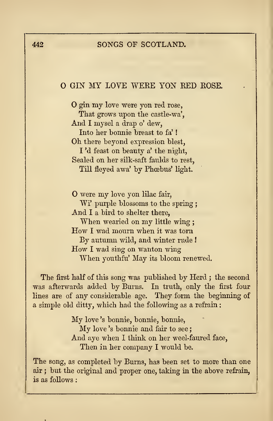## 442 SONGS OF SCOTLAND.

## O GIN MY LOVE WEEE YON RED ROSE.

O gin my love were yon red rose, That grows upon the castle-wa', And <sup>I</sup> mysel <sup>a</sup> drap o' dew, Into her honnie breast to fa' ! Oh there beyond expression blest, I 'd feast on beauty a'the night, Sealed on her silk-saft faulds to rest, Till fleyed awa' by Phœbus' light.

O were my love yon lilac fair, Wi' purple blossoms to the spring; And <sup>I</sup> a bird to shelter there, When wearied on my little wing ; How <sup>I</sup> wad mourn when it was torn By autumn wild, and winter rude ! How <sup>I</sup> wad sing on wanton wing When youthfu' May its bloom renewed.

The first half of this song was published by Herd ; the second was afterwards added by Burns. In truth, only the first four lines are of any considerable age. They form the beginning of a simple old ditty, which had the following as a refrain :

> My love 's bonnie, bonnie, bonnie, My love 'sbonnie and fair to see ; And aye when I think on her weel-faured face, Then in her company I would be.

The song, as completed by Burns, has been set to more than one air ; but the original and proper one, taking in the above refrain, is as follows